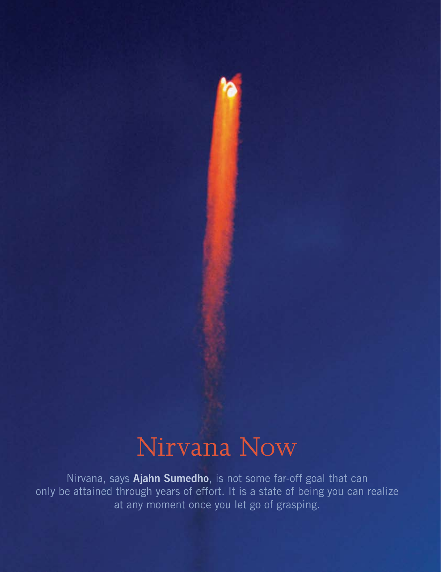## Nirvana Now

Nirvana, says **Ajahn Sumedho**, is not some far-off goal that can only be attained through years of effort. It is a state of being you can realize at any moment once you let go of grasping.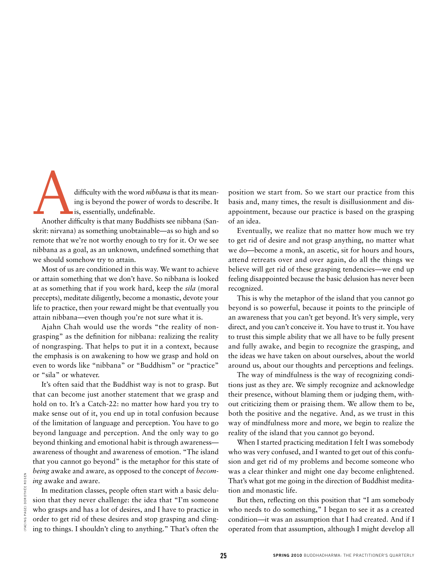difficulty with the word *nibbana* is that its mean-<br>ing is beyond the power of words to describe. It<br>is, essentially, undefinable.<br>Another difficulty is that many Buddhists see nibbana (Saning is beyond the power of words to describe. It is, essentially, undefinable.

Another difficulty is that many Buddhists see nibbana (Sanskrit: nirvana) as something unobtainable—as so high and so remote that we're not worthy enough to try for it. Or we see nibbana as a goal, as an unknown, undefined something that we should somehow try to attain.

Most of us are conditioned in this way. We want to achieve or attain something that we don't have. So nibbana is looked at as something that if you work hard, keep the *sila* (moral precepts), meditate diligently, become a monastic, devote your life to practice, then your reward might be that eventually you attain nibbana—even though you're not sure what it is.

Ajahn Chah would use the words "the reality of nongrasping" as the definition for nibbana: realizing the reality of nongrasping. That helps to put it in a context, because the emphasis is on awakening to how we grasp and hold on even to words like "nibbana" or "Buddhism" or "practice" or "sila" or whatever.

It's often said that the Buddhist way is not to grasp. But that can become just another statement that we grasp and hold on to. It's a Catch-22: no matter how hard you try to make sense out of it, you end up in total confusion because of the limitation of language and perception. You have to go beyond language and perception. And the only way to go beyond thinking and emotional habit is through awareness awareness of thought and awareness of emotion. "The island that you cannot go beyond" is the metaphor for this state of *being* awake and aware, as opposed to the concept of *becoming* awake and aware.

In meditation classes, people often start with a basic delusion that they never challenge: the idea that "I'm someone who grasps and has a lot of desires, and I have to practice in order to get rid of these desires and stop grasping and clinging to things. I shouldn't cling to anything." That's often the

position we start from. So we start our practice from this basis and, many times, the result is disillusionment and disappointment, because our practice is based on the grasping of an idea.

Eventually, we realize that no matter how much we try to get rid of desire and not grasp anything, no matter what we do—become a monk, an ascetic, sit for hours and hours, attend retreats over and over again, do all the things we believe will get rid of these grasping tendencies—we end up feeling disappointed because the basic delusion has never been recognized.

This is why the metaphor of the island that you cannot go beyond is so powerful, because it points to the principle of an awareness that you can't get beyond. It's very simple, very direct, and you can't conceive it. You have to trust it. You have to trust this simple ability that we all have to be fully present and fully awake, and begin to recognize the grasping, and the ideas we have taken on about ourselves, about the world around us, about our thoughts and perceptions and feelings.

The way of mindfulness is the way of recognizing conditions just as they are. We simply recognize and acknowledge their presence, without blaming them or judging them, without criticizing them or praising them. We allow them to be, both the positive and the negative. And, as we trust in this way of mindfulness more and more, we begin to realize the reality of the island that you cannot go beyond.

When I started practicing meditation I felt I was somebody who was very confused, and I wanted to get out of this confusion and get rid of my problems and become someone who was a clear thinker and might one day become enlightened. That's what got me going in the direction of Buddhist meditation and monastic life.

But then, reflecting on this position that "I am somebody who needs to do something," I began to see it as a created condition—it was an assumption that I had created. And if I operated from that assumption, although I might develop all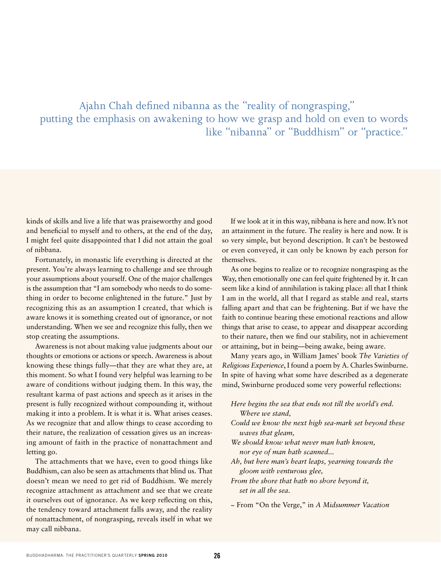### Ajahn Chah defined nibanna as the "reality of nongrasping," putting the emphasis on awakening to how we grasp and hold on even to words like "nibanna" or "Buddhism" or "practice."

kinds of skills and live a life that was praiseworthy and good and beneficial to myself and to others, at the end of the day, I might feel quite disappointed that I did not attain the goal of nibbana.

Fortunately, in monastic life everything is directed at the present. You're always learning to challenge and see through your assumptions about yourself. One of the major challenges is the assumption that "I am somebody who needs to do something in order to become enlightened in the future." Just by recognizing this as an assumption I created, that which is aware knows it is something created out of ignorance, or not understanding. When we see and recognize this fully, then we stop creating the assumptions.

Awareness is not about making value judgments about our thoughts or emotions or actions or speech. Awareness is about knowing these things fully—that they are what they are, at this moment. So what I found very helpful was learning to be aware of conditions without judging them. In this way, the resultant karma of past actions and speech as it arises in the present is fully recognized without compounding it, without making it into a problem. It is what it is. What arises ceases. As we recognize that and allow things to cease according to their nature, the realization of cessation gives us an increasing amount of faith in the practice of nonattachment and letting go.

The attachments that we have, even to good things like Buddhism, can also be seen as attachments that blind us. That doesn't mean we need to get rid of Buddhism. We merely recognize attachment as attachment and see that we create it ourselves out of ignorance. As we keep reflecting on this, the tendency toward attachment falls away, and the reality of nonattachment, of nongrasping, reveals itself in what we may call nibbana.

If we look at it in this way, nibbana is here and now. It's not an attainment in the future. The reality is here and now. It is so very simple, but beyond description. It can't be bestowed or even conveyed, it can only be known by each person for themselves.

As one begins to realize or to recognize nongrasping as the Way, then emotionally one can feel quite frightened by it. It can seem like a kind of annihilation is taking place: all that I think I am in the world, all that I regard as stable and real, starts falling apart and that can be frightening. But if we have the faith to continue bearing these emotional reactions and allow things that arise to cease, to appear and disappear according to their nature, then we find our stability, not in achievement or attaining, but in being—being awake, being aware.

Many years ago, in William James' book *The Varieties of Religious Experience*, I found a poem by A. Charles Swinburne. In spite of having what some have described as a degenerate mind, Swinburne produced some very powerful reflections:

- *Here begins the sea that ends not till the world's end. Where we stand,*
- *Could we know the next high sea-mark set beyond these waves that gleam,*
- *We should know what never man hath known, nor eye of man hath scanned...*
- *Ah, but here man's heart leaps, yearning towards the gloom with venturous glee,*
- *From the shore that hath no shore beyond it, set in all the sea.*
- *~* From "On the Verge," in *A Midsummer Vacation*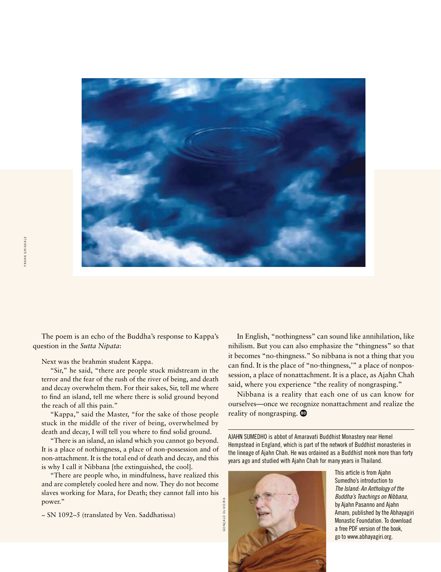

The poem is an echo of the Buddha's response to Kappa's question in the *Sutta Nipata*:

Next was the brahmin student Kappa.

"Sir," he said, "there are people stuck midstream in the terror and the fear of the rush of the river of being, and death and decay overwhelm them. For their sakes, Sir, tell me where to find an island, tell me where there is solid ground beyond the reach of all this pain."

"Kappa," said the Master, "for the sake of those people stuck in the middle of the river of being, overwhelmed by death and decay, I will tell you where to find solid ground.

"There is an island, an island which you cannot go beyond. It is a place of nothingness, a place of non-possession and of non-attachment. It is the total end of death and decay, and this is why I call it Nibbana [the extinguished, the cool].

"There are people who, in mindfulness, have realized this and are completely cooled here and now. They do not become slaves working for Mara, for Death; they cannot fall into his power."

~ SN 1092–5 (translated by Ven. Saddhatissa)

In English, "nothingness" can sound like annihilation, like nihilism. But you can also emphasize the "thingness" so that it becomes "no-thingness." So nibbana is not a thing that you can find. It is the place of "no-thingness,'" a place of nonpossession, a place of nonattachment. It is a place, as Ajahn Chah said, where you experience "the reality of nongrasping."

Nibbana is a reality that each one of us can know for ourselves—once we recognize nonattachment and realize the reality of nongrasping.

Ajahn Sumedho is abbot of Amaravati Buddhist Monastery near Hemel Hempstead in England, which is part of the network of Buddhist monasteries in the lineage of Ajahn Chah. He was ordained as a Buddhist monk more than forty years ago and studied with Ajahn Chah for many years in Thailand.



This article is from Ajahn Sumedho's introduction to *The Island: An Anthology of the Buddha's Teachings on Nibbana*, by Ajahn Pasanno and Ajahn Amaro, published by the Abhayagiri Monastic Foundation. To download a free PDF version of the book, go to www.abhayagiri.org.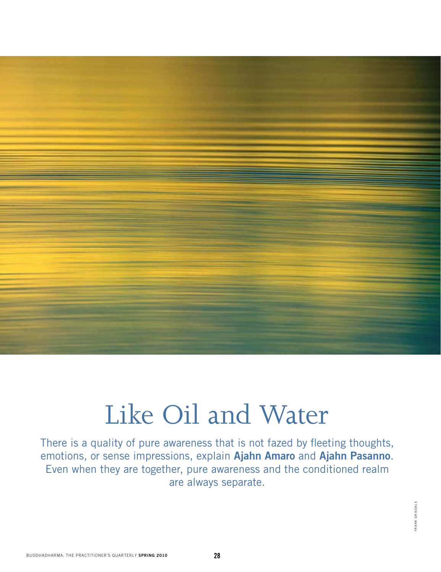# Like Oil and Water

There is a quality of pure awareness that is not fazed by fleeting thoughts, emotions, or sense impressions, explain **Ajahn Amaro** and **Ajahn Pasanno**. Even when they are together, pure awareness and the conditioned realm are always separate.

> FRANK GRISDALE FRANK GRISDALE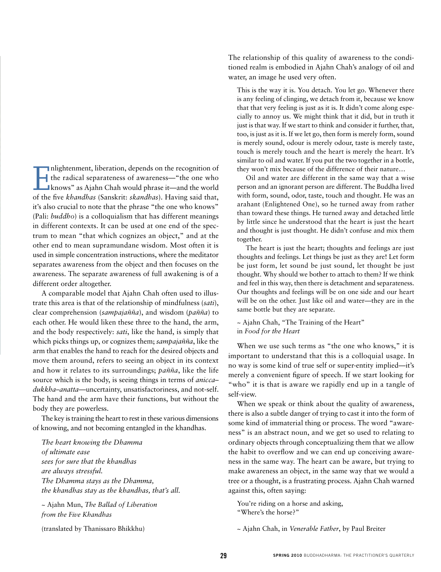$\prod_{\text{of the}}$ nlightenment, liberation, depends on the recognition of the radical separateness of awareness—"the one who knows" as Ajahn Chah would phrase it—and the world of the five *khandhas* (Sanskrit: *skandhas*). Having said that, it's also crucial to note that the phrase "the one who knows" (Pali: *buddho*) is a colloquialism that has different meanings in different contexts. It can be used at one end of the spectrum to mean "that which cognizes an object," and at the other end to mean supramundane wisdom. Most often it is used in simple concentration instructions, where the meditator separates awareness from the object and then focuses on the awareness. The separate awareness of full awakening is of a different order altogether.

A comparable model that Ajahn Chah often used to illustrate this area is that of the relationship of mindfulness (*sati*), clear comprehension (*sampajañña*), and wisdom (*pañña*) to each other. He would liken these three to the hand, the arm, and the body respectively: *sati*, like the hand, is simply that which picks things up, or cognizes them; *sampajañña*, like the arm that enables the hand to reach for the desired objects and move them around, refers to seeing an object in its context and how it relates to its surroundings; *pañña*, like the life source which is the body, is seeing things in terms of *anicca– dukkha–anatta*—uncertainty, unsatisfactoriness, and not-self. The hand and the arm have their functions, but without the body they are powerless.

The key is training the heart to rest in these various dimensions of knowing, and not becoming entangled in the khandhas.

*The heart knowing the Dhamma of ultimate ease sees for sure that the khandhas are always stressful. The Dhamma stays as the Dhamma, the khandhas stay as the khandhas, that's all.*

~ Ajahn Mun, *The Ballad of Liberation from the Five Khandhas* ~ Ajahn Chah, in *Venerable Father*, by Paul Breiter <sup>n</sup> k grisdale

(translated by Thanissaro Bhikkhu)

The relationship of this quality of awareness to the conditioned realm is embodied in Ajahn Chah's analogy of oil and water, an image he used very often.

This is the way it is. You detach. You let go. Whenever there is any feeling of clinging, we detach from it, because we know that that very feeling is just as it is. It didn't come along especially to annoy us. We might think that it did, but in truth it just is that way. If we start to think and consider it further, that, too, is just as it is. If we let go, then form is merely form, sound is merely sound, odour is merely odour, taste is merely taste, touch is merely touch and the heart is merely the heart. It's similar to oil and water. If you put the two together in a bottle, they won't mix because of the difference of their nature…

Oil and water are different in the same way that a wise person and an ignorant person are different. The Buddha lived with form, sound, odor, taste, touch and thought. He was an arahant (Enlightened One), so he turned away from rather than toward these things. He turned away and detached little by little since he understood that the heart is just the heart and thought is just thought. He didn't confuse and mix them together.

The heart is just the heart; thoughts and feelings are just thoughts and feelings. Let things be just as they are! Let form be just form, let sound be just sound, let thought be just thought. Why should we bother to attach to them? If we think and feel in this way, then there is detachment and separateness. Our thoughts and feelings will be on one side and our heart will be on the other. Just like oil and water—they are in the same bottle but they are separate.

#### ~ Ajahn Chah, "The Training of the Heart" in *Food for the Heart*

When we use such terms as "the one who knows," it is important to understand that this is a colloquial usage. In no way is some kind of true self or super-entity implied—it's merely a convenient figure of speech. If we start looking for "who" it is that is aware we rapidly end up in a tangle of self-view.

When we speak or think about the quality of awareness, there is also a subtle danger of trying to cast it into the form of some kind of immaterial thing or process. The word "awareness" is an abstract noun, and we get so used to relating to ordinary objects through conceptualizing them that we allow the habit to overflow and we can end up conceiving awareness in the same way. The heart can be aware, but trying to make awareness an object, in the same way that we would a tree or a thought, is a frustrating process. Ajahn Chah warned against this, often saying:

You're riding on a horse and asking, "Where's the horse?"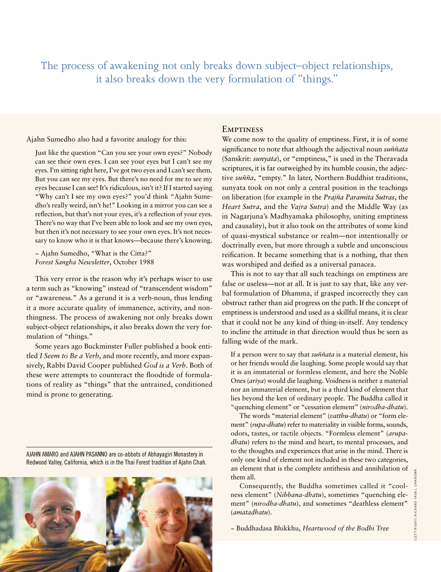The process of awakening not only breaks down subject–object relationships, it also breaks down the very formulation of "things."

Ajahn Sumedho also had a favorite analogy for this:

Just like the question "Can you see your own eyes?" Nobody can see their own eyes. I can see your eyes but I can't see my eyes. I'm sitting right here, I've got two eyes and I can't see them. But you can see my eyes. But there's no need for me to see my eyes because I can see! It's ridiculous, isn't it? If I started saying "Why can't I see my own eyes?" you'd think "Ajahn Sumedho's really weird, isn't he!" Looking in a mirror you can see a reflection, but that's not your eyes, it's a reflection of your eyes. There's no way that I've been able to look and see my own eyes, but then it's not necessary to see your own eyes. It's not necessary to know who it is that knows—because there's knowing.

~ Ajahn Sumedho, "What is the Citta?" *Forest Sangha Newsletter*, October 1988

This very error is the reason why it's perhaps wiser to use a term such as "knowing" instead of "transcendent wisdom" or "awareness." As a gerund it is a verb-noun, thus lending it a more accurate quality of immanence, activity, and nonthingness. The process of awakening not only breaks down subject-object relationships, it also breaks down the very formulation of "things."

Some years ago Buckminster Fuller published a book entitled *I Seem to Be a Verb*, and more recently, and more expansively, Rabbi David Cooper published *God is a Verb*. Both of these were attempts to counteract the floodtide of formulations of reality as "things" that the untrained, conditioned mind is prone to generating.

Ajahn Amaro and Ajahn Pasanno are co-abbots of Abhayagiri Monastery in Redwood Valley, California, which is in the Thai Forest tradition of Ajahn Chah.



#### **EMPTINESS**

We come now to the quality of emptiness. First, it is of some significance to note that although the adjectival noun *suññata* (Sanskrit: *sunyata*), or "emptiness," is used in the Theravada scriptures, it is far outweighed by its humble cousin, the adjective *suñña*, "empty." In later, Northern Buddhist traditions, sunyata took on not only a central position in the teachings on liberation (for example in the *Prajña Paramita Sutras*, the *Heart Sutra*, and the *Vajra Sutra*) and the Middle Way (as in Nagarjuna's Madhyamaka philosophy, uniting emptiness and causality), but it also took on the attributes of some kind of quasi-mystical substance or realm—not intentionally or doctrinally even, but more through a subtle and unconscious reification. It became something that is a nothing, that then was worshiped and deified as a universal panacea.

This is not to say that all such teachings on emptiness are false or useless—not at all. It is just to say that, like any verbal formulation of Dhamma, if grasped incorrectly they can obstruct rather than aid progress on the path. If the concept of emptiness is understood and used as a skillful means, it is clear that it could not be any kind of thing-in-itself. Any tendency to incline the attitude in that direction would thus be seen as falling wide of the mark.

If a person were to say that *suññata* is a material element, his or her friends would die laughing. Some people would say that it is an immaterial or formless element, and here the Noble Ones (*ariya*) would die laughing. Voidness is neither a material nor an immaterial element, but is a third kind of element that lies beyond the ken of ordinary people. The Buddha called it "quenching element" or "cessation element" (*nirodha-dhatu*).

The words "material element" (*vatthu-dhatu*) or "form element" (*rupa-dhatu*) refer to materiality in visible forms, sounds, odors, tastes, or tactile objects. "Formless element" (*arupadhatu*) refers to the mind and heart, to mental processes, and to the thoughts and experiences that arise in the mind. There is only one kind of element not included in these two categories, an element that is the complete antithesis and annihilation of them all.

Consequently, the Buddha sometimes called it "coolness element" (*Nibbana-dhatu*), sometimes "quenching element" (*nirodha-dhatu*), and sometimes "deathless element" (*amatadhatu*).

~ Buddhadasa Bhikkhu, *Heartwood of the Bodhi Tree*